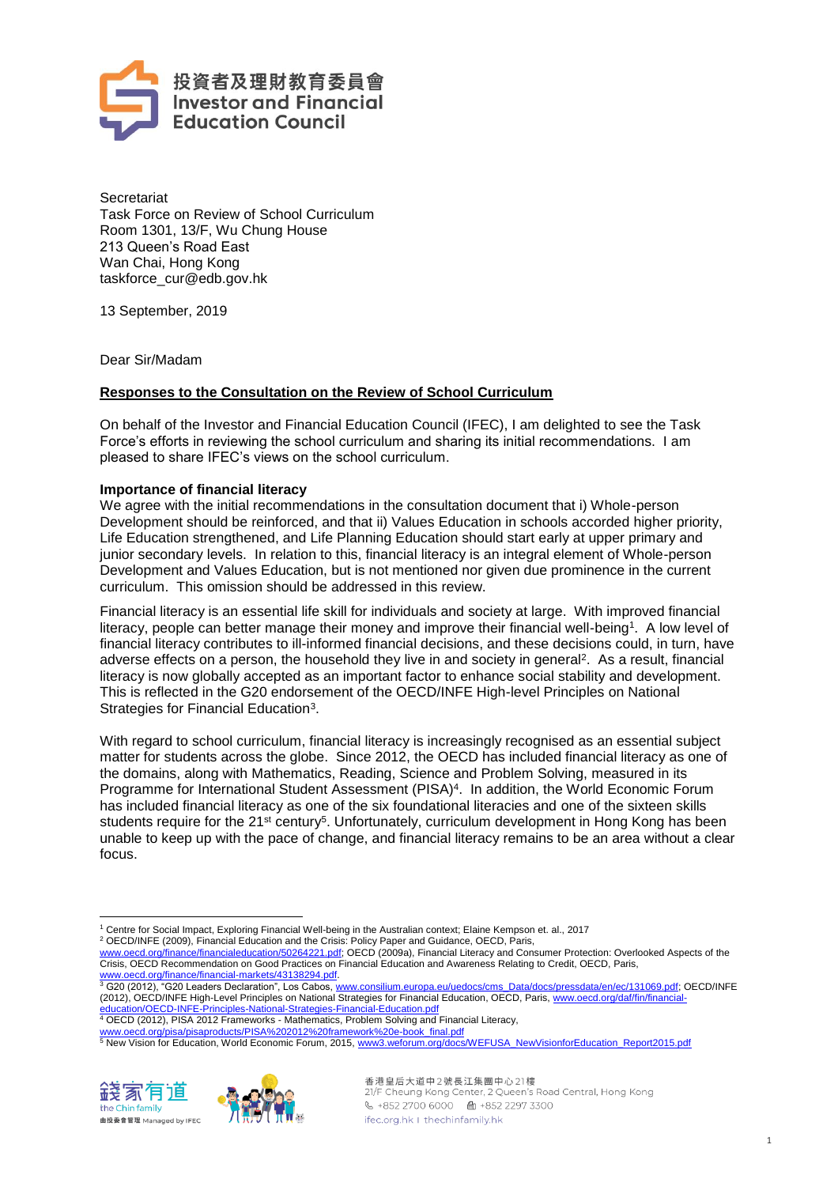

**Secretariat** Task Force on Review of School Curriculum Room 1301, 13/F, Wu Chung House 213 Queen's Road East Wan Chai, Hong Kong taskforce\_cur@edb.gov.hk

13 September, 2019

Dear Sir/Madam

# **Responses to the Consultation on the Review of School Curriculum**

On behalf of the Investor and Financial Education Council (IFEC), I am delighted to see the Task Force's efforts in reviewing the school curriculum and sharing its initial recommendations. I am pleased to share IFEC's views on the school curriculum.

### **Importance of financial literacy**

We agree with the initial recommendations in the consultation document that i) Whole-person Development should be reinforced, and that ii) Values Education in schools accorded higher priority, Life Education strengthened, and Life Planning Education should start early at upper primary and junior secondary levels. In relation to this, financial literacy is an integral element of Whole-person Development and Values Education, but is not mentioned nor given due prominence in the current curriculum. This omission should be addressed in this review.

Financial literacy is an essential life skill for individuals and society at large. With improved financial literacy, people can better manage their money and improve their financial well-being<sup>1</sup>. A low level of financial literacy contributes to ill-informed financial decisions, and these decisions could, in turn, have adverse effects on a person, the household they live in and society in general<sup>2</sup>. As a result, financial literacy is now globally accepted as an important factor to enhance social stability and development. This is reflected in the G20 endorsement of the OECD/INFE High-level Principles on National Strategies for Financial Education<sup>3</sup>.

With regard to school curriculum, financial literacy is increasingly recognised as an essential subject matter for students across the globe. Since 2012, the OECD has included financial literacy as one of the domains, along with Mathematics, Reading, Science and Problem Solving, measured in its Programme for International Student Assessment (PISA)<sup>4</sup>. In addition, the World Economic Forum has included financial literacy as one of the six foundational literacies and one of the sixteen skills students require for the 21st century<sup>5</sup>. Unfortunately, curriculum development in Hong Kong has been unable to keep up with the pace of change, and financial literacy remains to be an area without a clear focus.

[www.oecd.org/pisa/pisaproducts/PISA%202012%20framework%20e-book\\_final.pdf](http://www.oecd.org/pisa/pisaproducts/PISA%202012%20framework%20e-book_final.pdf)<br><sup>5</sup> New Vision for Education, World Economic Forum, 2015, <u>[www3.weforum.org/docs/WEFUSA\\_NewVisionforEducation\\_Report2015.pdf](http://www3.weforum.org/docs/WEFUSA_NewVisionforEducation_Report2015.pdf)</u>



 $\overline{a}$ 



<sup>1</sup> Centre for Social Impact, Exploring Financial Well-being in the Australian context; Elaine Kempson et. al., 2017

<sup>2</sup> OECD/INFE (2009), Financial Education and the Crisis: Policy Paper and Guidance, OECD, Paris,

[www.oecd.org/finance/financialeducation/50264221.pdf;](http://www.oecd.org/finance/financialeducation/50264221.pdf) OECD (2009a), Financial Literacy and Consumer Protection: Overlooked Aspects of the Crisis, OECD Recommendation on Good Practices on Financial Education and Awareness Relating to Credit, OECD, Paris,

[www.oecd.org/finance/financial-markets/43138294.pdf.](http://www.oecd.org/finance/financial-markets/43138294.pdf)<br><sup>3</sup> G20 (2012), "G20 Leaders Declaration", Los Cabos, <u>www.consilium.europa.eu/uedocs/cms\_Data/docs/pressdata/en/ec/131069.pdf</u>; OECD/INFE (2012), OECD/INFE High-Level Principles on National Strategies for Financial Education, OECD, Paris[, www.oecd.org/daf/fin/financial-](http://www.oecd.org/daf/fin/financial-education/OECD-INFE-Principles-National-Strategies-Financial-Education.pdf)

[education/OECD-INFE-Principles-National-Strategies-Financial-Education.pdf](http://www.oecd.org/daf/fin/financial-education/OECD-INFE-Principles-National-Strategies-Financial-Education.pdf)<br><sup>4</sup> OECD (2012), PISA 2012 Frameworks - Mathematics, Problem Solving and Financial Literacy,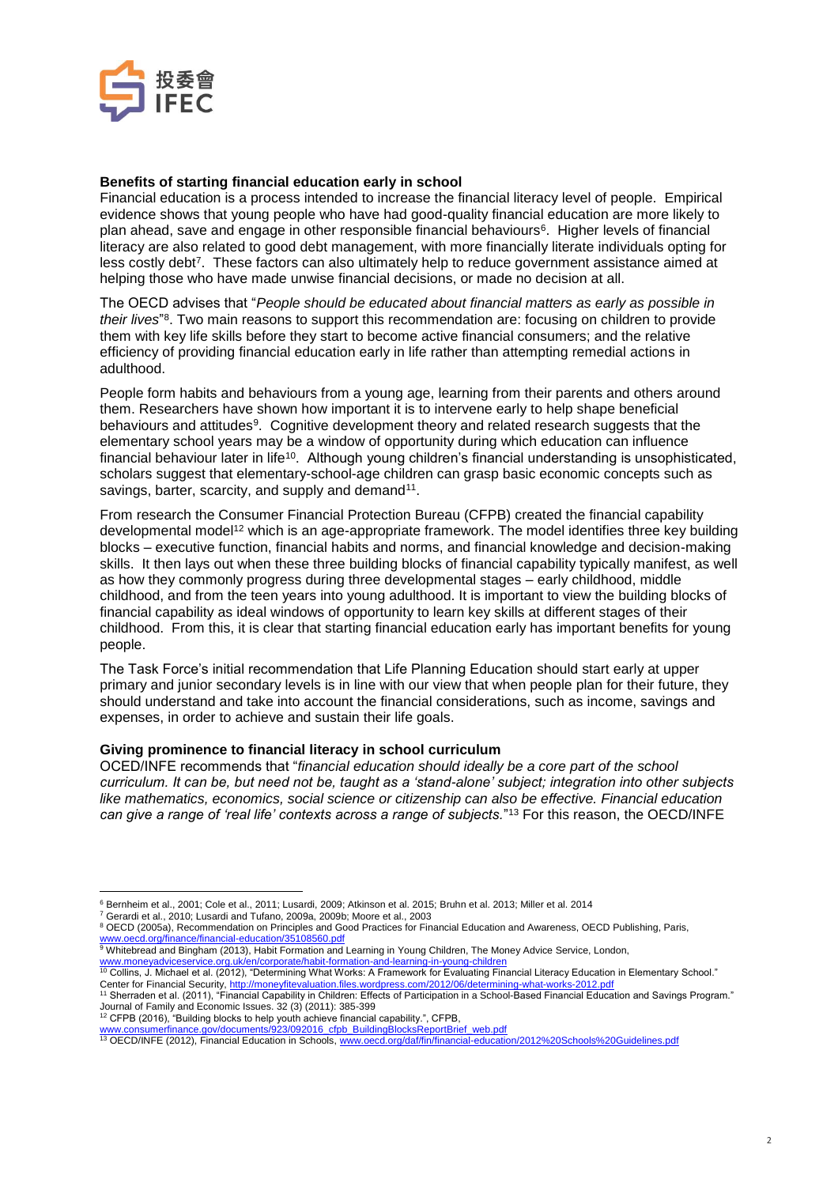

## **Benefits of starting financial education early in school**

Financial education is a process intended to increase the financial literacy level of people. Empirical evidence shows that young people who have had good-quality financial education are more likely to plan ahead, save and engage in other responsible financial behaviours<sup>6</sup>. Higher levels of financial literacy are also related to good debt management, with more financially literate individuals opting for less costly debt<sup>7</sup>. These factors can also ultimately help to reduce government assistance aimed at helping those who have made unwise financial decisions, or made no decision at all.

The OECD advises that "*People should be educated about financial matters as early as possible in their lives*" 8 . Two main reasons to support this recommendation are: focusing on children to provide them with key life skills before they start to become active financial consumers; and the relative efficiency of providing financial education early in life rather than attempting remedial actions in adulthood.

People form habits and behaviours from a young age, learning from their parents and others around them. Researchers have shown how important it is to intervene early to help shape beneficial behaviours and attitudes<sup>9</sup>. Cognitive development theory and related research suggests that the elementary school years may be a window of opportunity during which education can influence financial behaviour later in life<sup>10</sup>. Although young children's financial understanding is unsophisticated, scholars suggest that elementary-school-age children can grasp basic economic concepts such as savings, barter, scarcity, and supply and demand<sup>11</sup>.

From research the Consumer Financial Protection Bureau (CFPB) created the financial capability developmental model<sup>12</sup> which is an age-appropriate framework. The model identifies three key building blocks – executive function, financial habits and norms, and financial knowledge and decision-making skills. It then lays out when these three building blocks of financial capability typically manifest, as well as how they commonly progress during three developmental stages – early childhood, middle childhood, and from the teen years into young adulthood. It is important to view the building blocks of financial capability as ideal windows of opportunity to learn key skills at different stages of their childhood. From this, it is clear that starting financial education early has important benefits for young people.

The Task Force's initial recommendation that Life Planning Education should start early at upper primary and junior secondary levels is in line with our view that when people plan for their future, they should understand and take into account the financial considerations, such as income, savings and expenses, in order to achieve and sustain their life goals.

### **Giving prominence to financial literacy in school curriculum**

OCED/INFE recommends that "*financial education should ideally be a core part of the school curriculum. It can be, but need not be, taught as a 'stand-alone' subject; integration into other subjects like mathematics, economics, social science or citizenship can also be effective. Financial education can give a range of 'real life' contexts across a range of subjects.*" <sup>13</sup> For this reason, the OECD/INFE

<sup>7</sup> Gerardi et al., 2010; Lusardi and Tufano, 2009a, 2009b; Moore et al., 2003

 $\overline{a}$ <sup>6</sup> Bernheim et al., 2001; Cole et al., 2011; Lusardi, 2009; Atkinson et al. 2015; Bruhn et al. 2013; Miller et al. 2014

<sup>&</sup>lt;sup>8</sup> OECD (2005a), Recommendation on Principles and Good Practices for Financial Education and Awareness, OECD Publishing, Paris, <u>[www.oecd.org/finance/financial-education/35108560.pdf](http://www.oecd.org/finance/financial-education/35108560.pdf)</u><br><sup>9</sup> Whitebread and Bingham (2013), Habit Formation and Learning in Young Children, The Money Advice Service, London,

<sup>&</sup>lt;u>[www.moneyadviceservice.org.uk/en/corporate/habit-formation-and-learning-in-young-children](http://www.moneyadviceservice.org.uk/en/corporate/habit-formation-and-learning-in-young-children)</u><br><sup>10</sup> Collins, J. Michael et al. (2012), "Determining What Works: A Framework for Evaluating Financial Literacy Education in Elemen

Center for Financial Security, <u><http://moneyfitevaluation.files.wordpress.com/2012/06/determining-what-works-2012.pdf></u><br><sup>11</sup> Sherraden et al. (2011), "Financial Capability in Children: Effects of Participation in a School-B Journal of Family and Economic Issues. 32 (3) (2011): 385-399 <sup>12</sup> CFPB (2016), "Building blocks to help youth achieve financial capability.", CFPB,

www.comsumerfinance.gov/documents/923/092016\_cfpb\_BuildingBlocksReportBrief\_web.pdf

<sup>13</sup> OECD/INFE (2012), Financial Education in Schools, [www.oecd.org/daf/fin/financial-education/2012%20Schools%20Guidelines.pdf](http://www.oecd.org/daf/fin/financial-education/2012%20Schools%20Guidelines.pdf)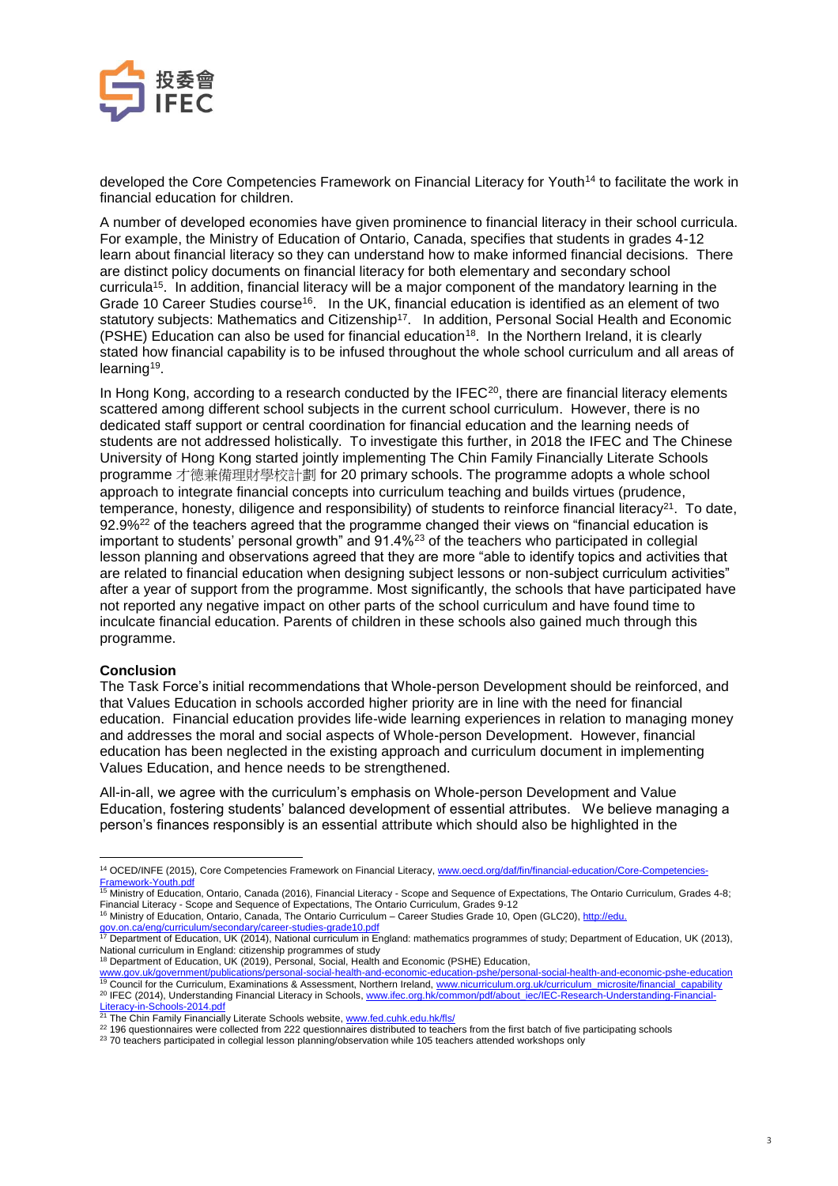

developed the Core Competencies Framework on Financial Literacy for Youth<sup>14</sup> to facilitate the work in financial education for children.

A number of developed economies have given prominence to financial literacy in their school curricula. For example, the Ministry of Education of Ontario, Canada, specifies that students in grades 4-12 learn about financial literacy so they can understand how to make informed financial decisions. There are distinct policy documents on financial literacy for both elementary and secondary school curricula<sup>15</sup>. In addition, financial literacy will be a major component of the mandatory learning in the Grade 10 Career Studies course<sup>16</sup>. In the UK, financial education is identified as an element of two statutory subjects: Mathematics and Citizenship<sup>17</sup>. In addition, Personal Social Health and Economic  $(PSHE)$  Education can also be used for financial education<sup>18</sup>. In the Northern Ireland, it is clearly stated how financial capability is to be infused throughout the whole school curriculum and all areas of learning<sup>19</sup>.

In Hong Kong, according to a research conducted by the IFEC<sup>20</sup>, there are financial literacy elements scattered among different school subjects in the current school curriculum. However, there is no dedicated staff support or central coordination for financial education and the learning needs of students are not addressed holistically. To investigate this further, in 2018 the IFEC and The Chinese University of Hong Kong started jointly implementing The Chin Family Financially Literate Schools programme 才德兼備理財學校計劃 for 20 primary schools. The programme adopts a whole school approach to integrate financial concepts into curriculum teaching and builds virtues (prudence, temperance, honesty, diligence and responsibility) of students to reinforce financial literacy<sup>21</sup>. To date, 92.9%<sup>22</sup> of the teachers agreed that the programme changed their views on "financial education is important to students' personal growth" and  $91.4\%^{23}$  of the teachers who participated in collegial lesson planning and observations agreed that they are more "able to identify topics and activities that are related to financial education when designing subject lessons or non-subject curriculum activities" after a year of support from the programme. Most significantly, the schools that have participated have not reported any negative impact on other parts of the school curriculum and have found time to inculcate financial education. Parents of children in these schools also gained much through this programme.

## **Conclusion**

The Task Force's initial recommendations that Whole-person Development should be reinforced, and that Values Education in schools accorded higher priority are in line with the need for financial education. Financial education provides life-wide learning experiences in relation to managing money and addresses the moral and social aspects of Whole-person Development. However, financial education has been neglected in the existing approach and curriculum document in implementing Values Education, and hence needs to be strengthened.

All-in-all, we agree with the curriculum's emphasis on Whole-person Development and Value Education, fostering students' balanced development of essential attributes. We believe managing a person's finances responsibly is an essential attribute which should also be highlighted in the

 $\overline{a}$ <sup>14</sup> OCED/INFE (2015), Core Competencies Framework on Financial Literacy, [www.oecd.org/daf/fin/financial-education/Core-Competencies-](http://www.oecd.org/daf/fin/financial-education/Core-Competencies-Framework-Youth.pdf)<u>[Framework-Youth.pdf](http://www.oecd.org/daf/fin/financial-education/Core-Competencies-Framework-Youth.pdf)</u><br><sup>15</sup> Ministry of Education, Ontario, Canada (2016), Financial Literacy - Scope and Sequence of Expectations, The Ontario Curriculum, Grades 4-8;

Financial Literacy - Scope and Sequence of Expectations, The Ontario Curriculum, Grades 9-12<br><sup>16</sup> Ministry of Education, Ontario, Canada, The Ontario Curriculum – Career Studies Grade 10, Open (GLC20), <u>http://edu.</u>

<sup>&</sup>lt;u>[gov.on.ca/eng/curriculum/secondary/career-studies-grade10.pdf](http://edu.gov.on.ca/eng/curriculum/secondary/career-studies-grade10.pdf)</u><br><sup>17</sup> Department of Education, UK (2014), National curriculum in England: mathematics programmes of study; Department of Education, UK (2013), National curriculum in England: citizenship programmes of study

<sup>&</sup>lt;sup>18</sup> Department of Education, UK (2019), Personal, Social, Health and Economic (PSHE) Education,

<sup>&</sup>lt;u>[www.gov.uk/government/publications/personal-social-health-and-economic-education-pshe/personal-social-health-and-economic-pshe-education](http://www.gov.uk/government/publications/personal-social-health-and-economic-education-pshe/personal-social-health-and-economic-pshe-education)<br><sup>19</sup> Council for the Curriculum, Examinations & Assessment, Northern Ireland, <u>www.n</u></u> <sup>20</sup> IFEC (2014), Understanding Financial Literacy in Schools, [www.ifec.org.hk/common/pdf/about\\_iec/IEC-Research-Understanding-Financial-](http://www.ifec.org.hk/common/pdf/about_iec/IEC-Research-Understanding-Financial-Literacy-in-Schools-2014.pdf)

<sup>&</sup>lt;u>[Literacy-in-Schools-2014.pdf](http://www.ifec.org.hk/common/pdf/about_iec/IEC-Research-Understanding-Financial-Literacy-in-Schools-2014.pdf)</u><br><sup>21</sup> The Chin Family Financially Literate Schools website, <u>[www.fed.cuhk.edu.hk/fls/](https://www.fed.cuhk.edu.hk/fls/)</u>

<sup>&</sup>lt;sup>22</sup> 196 questionnaires were collected from 222 questionnaires distributed to teachers from the first batch of five participating schools

<sup>&</sup>lt;sup>23</sup> 70 teachers participated in collegial lesson planning/observation while 105 teachers attended workshops only